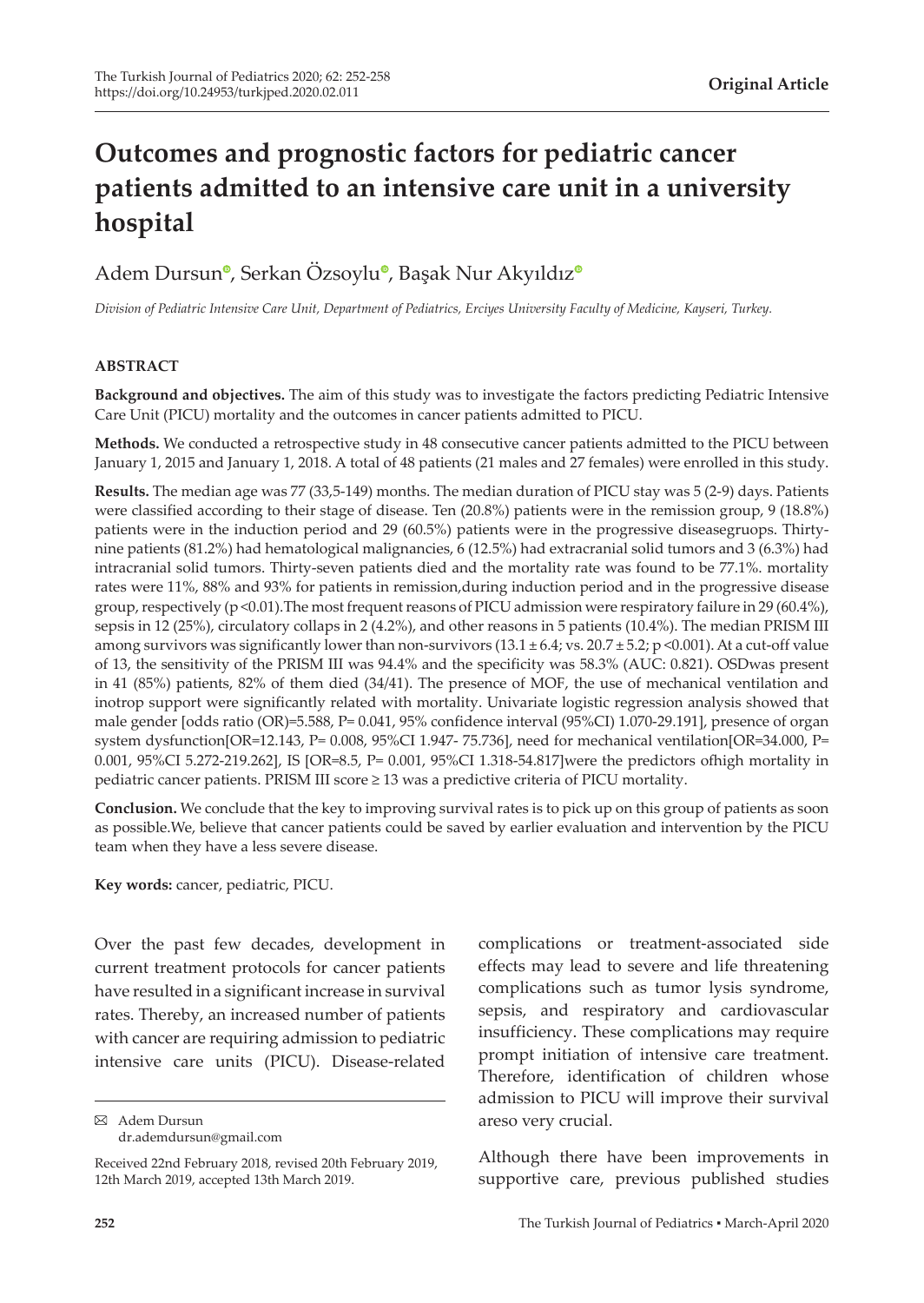# **Outcomes and prognostic factors for pediatric cancer patients admitted to an intensive care unit in a university hospital**

## Adem Dursu[n](https://orcid.org/0000-0003-0855-780X)<sup>®</sup>[,](https://orcid.org/0000-0002-2315-5027) Serkan Ö[z](https://orcid.org/0000-0001-8540-0625)soylu®, Başak Nur Akyıldız<sup>®</sup>

*Division of Pediatric Intensive Care Unit, Department of Pediatrics, Erciyes University Faculty of Medicine, Kayseri, Turkey.*

#### **ABSTRACT**

**Background and objectives.** The aim of this study was to investigate the factors predicting Pediatric Intensive Care Unit (PICU) mortality and the outcomes in cancer patients admitted to PICU.

**Methods.** We conducted a retrospective study in 48 consecutive cancer patients admitted to the PICU between January 1, 2015 and January 1, 2018. A total of 48 patients (21 males and 27 females) were enrolled in this study.

**Results.** The median age was 77 (33,5-149) months. The median duration of PICU stay was 5 (2-9) days. Patients were classified according to their stage of disease. Ten (20.8%) patients were in the remission group, 9 (18.8%) patients were in the induction period and 29 (60.5%) patients were in the progressive diseasegruops. Thirtynine patients (81.2%) had hematological malignancies, 6 (12.5%) had extracranial solid tumors and 3 (6.3%) had intracranial solid tumors. Thirty-seven patients died and the mortality rate was found to be 77.1%. mortality rates were 11%, 88% and 93% for patients in remission,during induction period and in the progressive disease group, respectively ( $p \le 0.01$ ). The most frequent reasons of PICU admission were respiratory failure in 29 (60.4%), sepsis in 12 (25%), circulatory collaps in 2 (4.2%), and other reasons in 5 patients (10.4%). The median PRISM III among survivors was significantly lower than non-survivors  $(13.1 \pm 6.4; vs. 20.7 \pm 5.2; p \le 0.001)$ . At a cut-off value of 13, the sensitivity of the PRISM III was 94.4% and the specificity was 58.3% (AUC: 0.821). OSDwas present in 41 (85%) patients, 82% of them died (34/41). The presence of MOF, the use of mechanical ventilation and inotrop support were significantly related with mortality. Univariate logistic regression analysis showed that male gender [odds ratio (OR)=5.588, P= 0.041, 95% confidence interval (95%CI) 1.070-29.191], presence of organ system dysfunction[OR=12.143, P= 0.008, 95%CI 1.947- 75.736], need for mechanical ventilation[OR=34.000, P= 0.001, 95%CI 5.272-219.262], IS [OR=8.5, P= 0.001, 95%CI 1.318-54.817]were the predictors ofhigh mortality in pediatric cancer patients. PRISM III score ≥ 13 was a predictive criteria of PICU mortality.

**Conclusion.** We conclude that the key to improving survival rates is to pick up on this group of patients as soon as possible.We, believe that cancer patients could be saved by earlier evaluation and intervention by the PICU team when they have a less severe disease.

**Key words:** cancer, pediatric, PICU.

Over the past few decades, development in current treatment protocols for cancer patients have resulted in a significant increase in survival rates. Thereby, an increased number of patients with cancer are requiring admission to pediatric intensive care units (PICU). Disease-related

Adem Dursun dr.ademdursun@gmail.com insufficiency. These complications may require prompt initiation of intensive care treatment. Therefore, identification of children whose admission to PICU will improve their survival areso very crucial. Although there have been improvements in supportive care, previous published studies

complications or treatment-associated side effects may lead to severe and life threatening complications such as tumor lysis syndrome, sepsis, and respiratory and cardiovascular

Received 22nd February 2018, revised 20th February 2019, 12th March 2019, accepted 13th March 2019.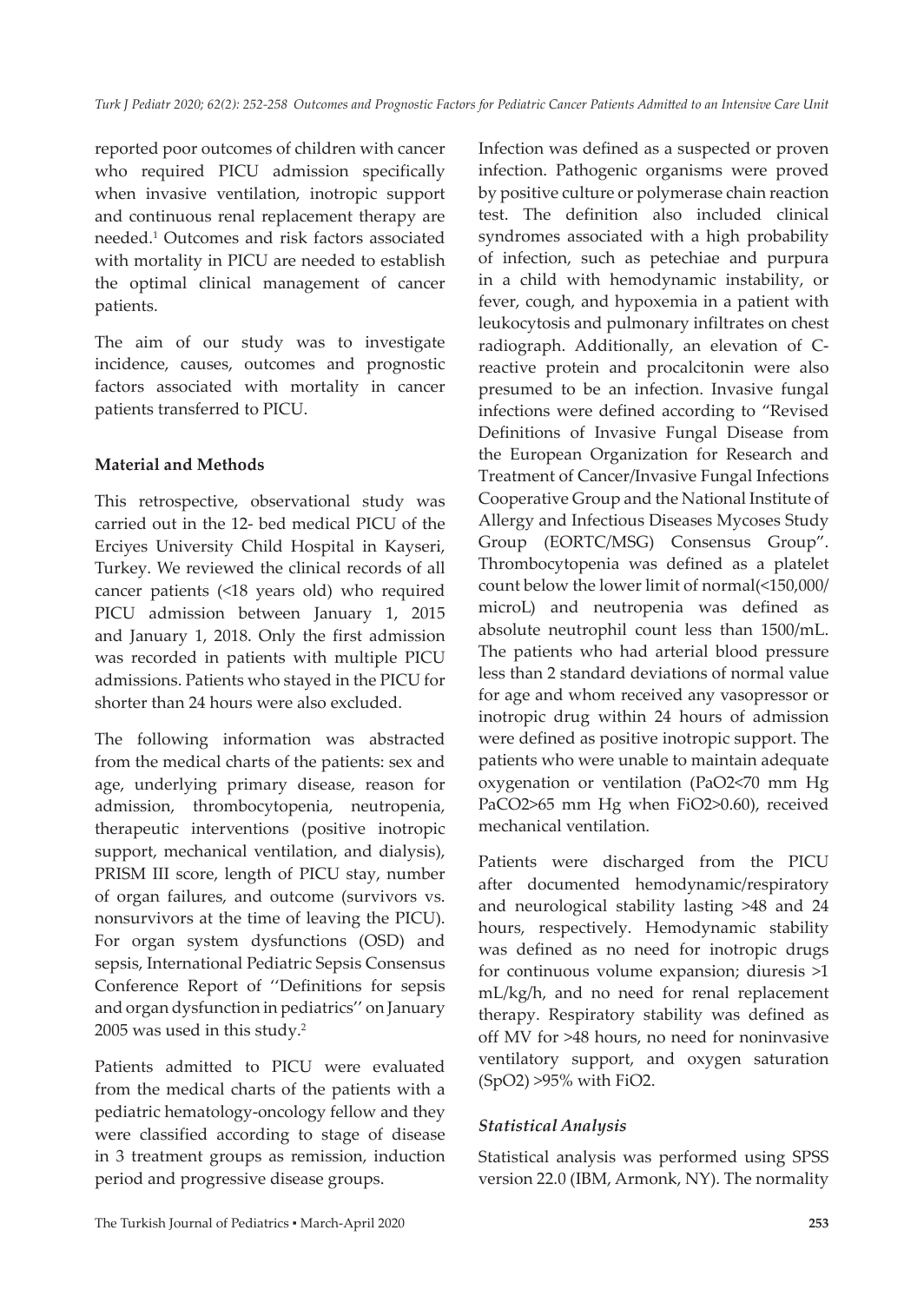reported poor outcomes of children with cancer who required PICU admission specifically when invasive ventilation, inotropic support and continuous renal replacement therapy are needed.<sup>1</sup> Outcomes and risk factors associated with mortality in PICU are needed to establish the optimal clinical management of cancer patients.

The aim of our study was to investigate incidence, causes, outcomes and prognostic factors associated with mortality in cancer patients transferred to PICU.

### **Material and Methods**

This retrospective, observational study was carried out in the 12- bed medical PICU of the Erciyes University Child Hospital in Kayseri, Turkey. We reviewed the clinical records of all cancer patients (<18 years old) who required PICU admission between January 1, 2015 and January 1, 2018. Only the first admission was recorded in patients with multiple PICU admissions. Patients who stayed in the PICU for shorter than 24 hours were also excluded.

The following information was abstracted from the medical charts of the patients: sex and age, underlying primary disease, reason for admission, thrombocytopenia, neutropenia, therapeutic interventions (positive inotropic support, mechanical ventilation, and dialysis), PRISM III score, length of PICU stay, number of organ failures, and outcome (survivors vs. nonsurvivors at the time of leaving the PICU). For organ system dysfunctions (OSD) and sepsis, International Pediatric Sepsis Consensus Conference Report of ''Definitions for sepsis and organ dysfunction in pediatrics'' on January 2005 was used in this study.<sup>2</sup>

Patients admitted to PICU were evaluated from the medical charts of the patients with a pediatric hematology-oncology fellow and they were classified according to stage of disease in 3 treatment groups as remission, induction period and progressive disease groups.

Infection was defined as a suspected or proven infection. Pathogenic organisms were proved by positive culture or polymerase chain reaction test. The definition also included clinical syndromes associated with a high probability of infection, such as petechiae and purpura in a child with hemodynamic instability, or fever, cough, and hypoxemia in a patient with leukocytosis and pulmonary infiltrates on chest radiograph. Additionally, an elevation of Creactive protein and procalcitonin were also presumed to be an infection. Invasive fungal infections were defined according to "Revised Definitions of Invasive Fungal Disease from the European Organization for Research and Treatment of Cancer/Invasive Fungal Infections Cooperative Group and the National Institute of Allergy and Infectious Diseases Mycoses Study Group (EORTC/MSG) Consensus Group". Thrombocytopenia was defined as a platelet count below the lower limit of normal(<150,000/ microL) and neutropenia was defined as absolute neutrophil count less than 1500/mL. The patients who had arterial blood pressure less than 2 standard deviations of normal value for age and whom received any vasopressor or inotropic drug within 24 hours of admission were defined as positive inotropic support. The patients who were unable to maintain adequate oxygenation or ventilation (PaO2<70 mm Hg PaCO2>65 mm Hg when FiO2>0.60), received mechanical ventilation.

Patients were discharged from the PICU after documented hemodynamic/respiratory and neurological stability lasting >48 and 24 hours, respectively. Hemodynamic stability was defined as no need for inotropic drugs for continuous volume expansion; diuresis >1 mL/kg/h, and no need for renal replacement therapy. Respiratory stability was defined as off MV for >48 hours, no need for noninvasive ventilatory support, and oxygen saturation (SpO2) >95% with FiO2.

#### *Statistical Analysis*

Statistical analysis was performed using SPSS version 22.0 (IBM, Armonk, NY). The normality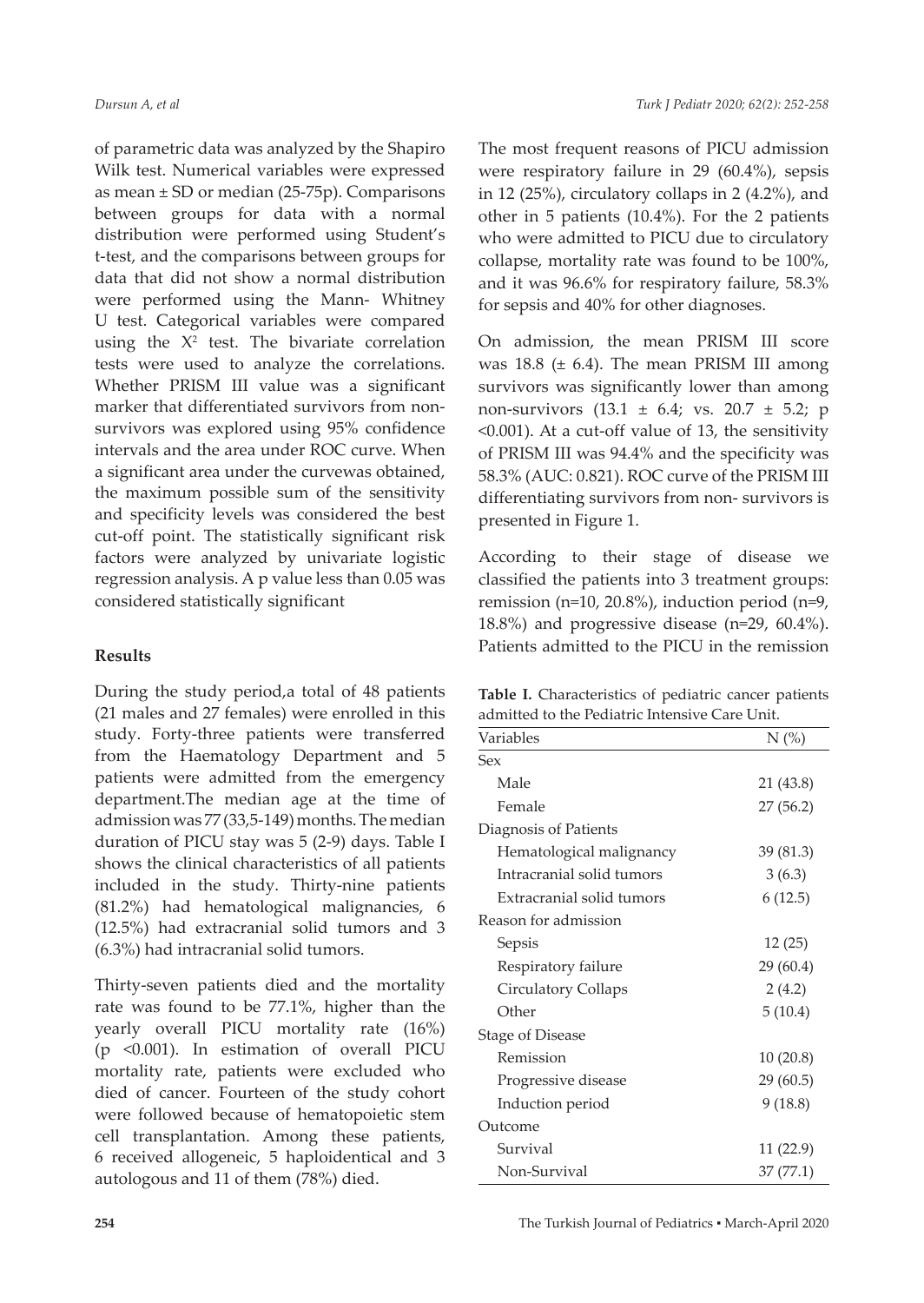of parametric data was analyzed by the Shapiro Wilk test. Numerical variables were expressed as mean  $\pm$  SD or median (25-75p). Comparisons between groups for data with a normal distribution were performed using Student's t-test, and the comparisons between groups for data that did not show a normal distribution were performed using the Mann- Whitney U test. Categorical variables were compared using the  $X^2$  test. The bivariate correlation tests were used to analyze the correlations. Whether PRISM III value was a significant marker that differentiated survivors from nonsurvivors was explored using 95% confidence intervals and the area under ROC curve. When a significant area under the curvewas obtained, the maximum possible sum of the sensitivity and specificity levels was considered the best cut-off point. The statistically significant risk factors were analyzed by univariate logistic regression analysis. A p value less than 0.05 was considered statistically significant

#### **Results**

During the study period,a total of 48 patients (21 males and 27 females) were enrolled in this study. Forty-three patients were transferred from the Haematology Department and 5 patients were admitted from the emergency department.The median age at the time of admission was 77 (33,5-149) months. The median duration of PICU stay was 5 (2-9) days. Table I shows the clinical characteristics of all patients included in the study. Thirty-nine patients (81.2%) had hematological malignancies, 6 (12.5%) had extracranial solid tumors and 3 (6.3%) had intracranial solid tumors.

Thirty-seven patients died and the mortality rate was found to be 77.1%, higher than the yearly overall PICU mortality rate (16%) (p <0.001). In estimation of overall PICU mortality rate, patients were excluded who died of cancer. Fourteen of the study cohort were followed because of hematopoietic stem cell transplantation. Among these patients, 6 received allogeneic, 5 haploidentical and 3 autologous and 11 of them (78%) died.

The most frequent reasons of PICU admission were respiratory failure in 29 (60.4%), sepsis in 12 (25%), circulatory collaps in 2 (4.2%), and other in 5 patients (10.4%). For the 2 patients who were admitted to PICU due to circulatory collapse, mortality rate was found to be 100%, and it was 96.6% for respiratory failure, 58.3% for sepsis and 40% for other diagnoses.

On admission, the mean PRISM III score was  $18.8$  ( $\pm$  6.4). The mean PRISM III among survivors was significantly lower than among non-survivors (13.1 ± 6.4; vs. 20.7 ± 5.2; p <0.001). At a cut-off value of 13, the sensitivity of PRISM III was 94.4% and the specificity was 58.3% (AUC: 0.821). ROC curve of the PRISM III differentiating survivors from non- survivors is presented in Figure 1.

According to their stage of disease we classified the patients into 3 treatment groups: remission (n=10, 20.8%), induction period (n=9, 18.8%) and progressive disease (n=29, 60.4%). Patients admitted to the PICU in the remission

| Table I. Characteristics of pediatric cancer patients |
|-------------------------------------------------------|
| admitted to the Pediatric Intensive Care Unit.        |

| Variables                 | $N$ $\left(\% \right)$ |
|---------------------------|------------------------|
| $S_{PX}$                  |                        |
| Male                      | 21 (43.8)              |
| Female                    | 27 (56.2)              |
| Diagnosis of Patients     |                        |
| Hematological malignancy  | 39 (81.3)              |
| Intracranial solid tumors | 3(6.3)                 |
| Extracranial solid tumors | 6(12.5)                |
| Reason for admission      |                        |
| Sepsis                    | 12(25)                 |
| Respiratory failure       | 29 (60.4)              |
| Circulatory Collaps       | 2(4.2)                 |
| Other                     | 5(10.4)                |
| Stage of Disease          |                        |
| Remission                 | 10 (20.8)              |
| Progressive disease       | 29(60.5)               |
| Induction period          | 9(18.8)                |
| Outcome                   |                        |
| Survival                  | 11 (22.9)              |
| Non-Survival              | 37(77.1)               |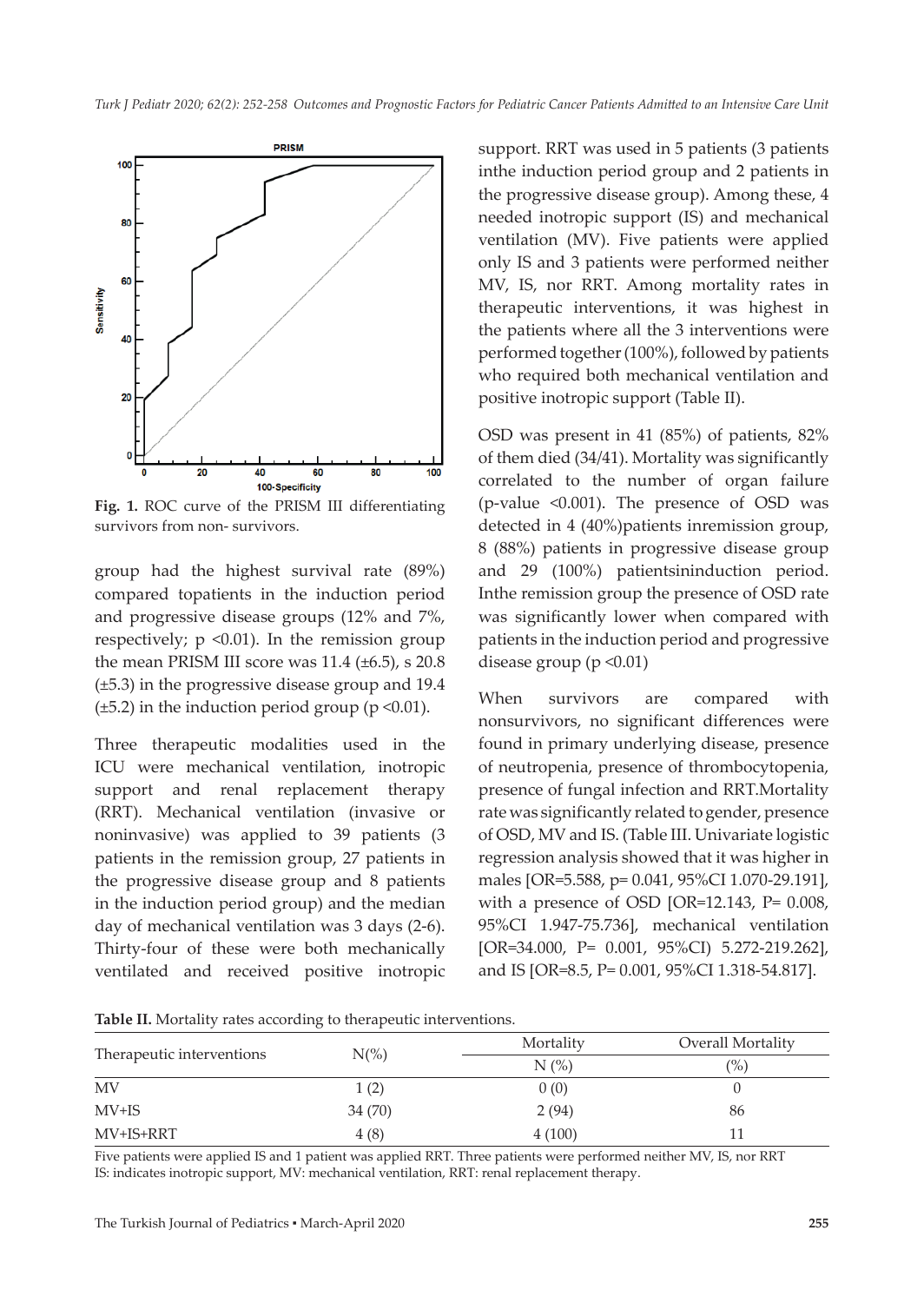

**Fig. 1.** ROC curve of the PRISM III differentiating survivors from non- survivors.

group had the highest survival rate (89%) compared topatients in the induction period and progressive disease groups (12% and 7%, respectively;  $p \le 0.01$ ). In the remission group the mean PRISM III score was  $11.4$  ( $\pm 6.5$ ), s  $20.8$ (±5.3) in the progressive disease group and 19.4  $(\pm 5.2)$  in the induction period group (p < 0.01).

Three therapeutic modalities used in the ICU were mechanical ventilation, inotropic support and renal replacement therapy (RRT). Mechanical ventilation (invasive or noninvasive) was applied to 39 patients (3 patients in the remission group, 27 patients in the progressive disease group and 8 patients in the induction period group) and the median day of mechanical ventilation was 3 days (2-6). Thirty-four of these were both mechanically ventilated and received positive inotropic support. RRT was used in 5 patients (3 patients inthe induction period group and 2 patients in the progressive disease group). Among these, 4 needed inotropic support (IS) and mechanical ventilation (MV). Five patients were applied only IS and 3 patients were performed neither MV, IS, nor RRT. Among mortality rates in therapeutic interventions, it was highest in the patients where all the 3 interventions were performed together (100%), followed by patients who required both mechanical ventilation and positive inotropic support (Table II).

OSD was present in 41 (85%) of patients, 82% of them died (34/41). Mortality was significantly correlated to the number of organ failure (p-value <0.001). The presence of OSD was detected in 4 (40%)patients inremission group, 8 (88%) patients in progressive disease group and 29 (100%) patientsininduction period. Inthe remission group the presence of OSD rate was significantly lower when compared with patients in the induction period and progressive disease group (p <0.01)

When survivors are compared with nonsurvivors, no significant differences were found in primary underlying disease, presence of neutropenia, presence of thrombocytopenia, presence of fungal infection and RRT.Mortality rate was significantly related to gender, presence of OSD, MV and IS. (Table III. Univariate logistic regression analysis showed that it was higher in males [OR=5.588, p= 0.041, 95%CI 1.070-29.191], with a presence of OSD [OR=12.143, P= 0.008, 95%CI 1.947-75.736], mechanical ventilation [OR=34.000, P= 0.001, 95%CI) 5.272-219.262], and IS [OR=8.5, P= 0.001, 95%CI 1.318-54.817].

**Table II.** Mortality rates according to therapeutic interventions.

|                           | $\cdot$         |                        |                   |
|---------------------------|-----------------|------------------------|-------------------|
| Therapeutic interventions | $N\binom{0}{0}$ | Mortality              | Overall Mortality |
|                           |                 | $N$ $\left(\% \right)$ | $\frac{1}{2}$     |
| MV                        | 1(2)            | 0(0)                   |                   |
| $MV+IS$                   | 34 (70)         | 2(94)                  | 86                |
| MV+IS+RRT                 | 4(8)            | 4(100)                 |                   |

Five patients were applied IS and 1 patient was applied RRT. Three patients were performed neither MV, IS, nor RRT IS: indicates inotropic support, MV: mechanical ventilation, RRT: renal replacement therapy.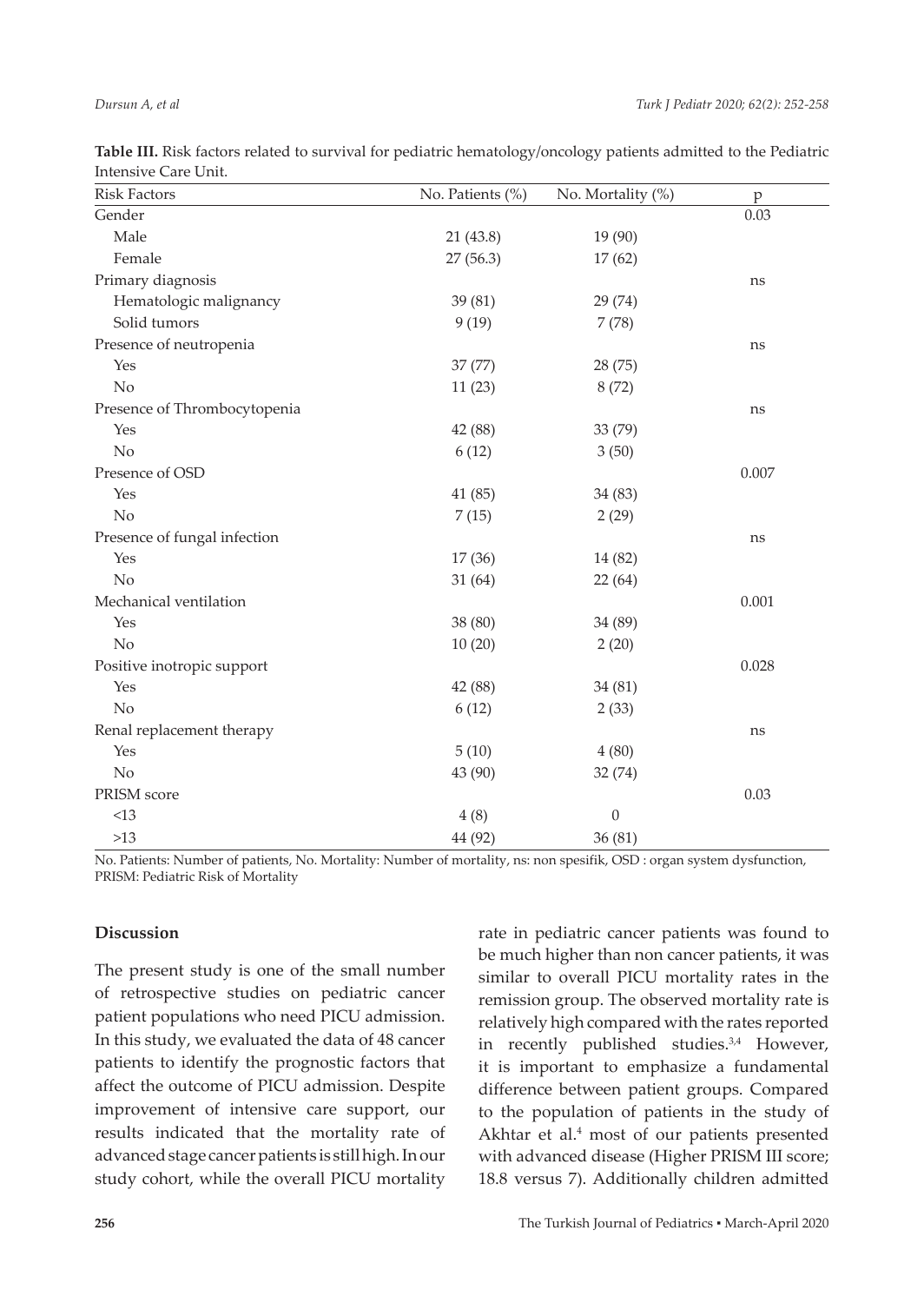| <b>Risk Factors</b>          | No. Patients (%) | No. Mortality (%) | p     |
|------------------------------|------------------|-------------------|-------|
| Gender                       |                  |                   | 0.03  |
| Male                         | 21(43.8)         | 19 (90)           |       |
| Female                       | 27(56.3)         | 17(62)            |       |
| Primary diagnosis            |                  |                   | ns    |
| Hematologic malignancy       | 39 (81)          | 29 (74)           |       |
| Solid tumors                 | 9(19)            | 7(78)             |       |
| Presence of neutropenia      |                  |                   | ns    |
| Yes                          | 37 (77)          | 28 (75)           |       |
| No                           | 11(23)           | 8(72)             |       |
| Presence of Thrombocytopenia |                  |                   | ns    |
| Yes                          | 42 (88)          | 33 (79)           |       |
| No                           | 6(12)            | 3(50)             |       |
| Presence of OSD              |                  |                   | 0.007 |
| Yes                          | 41(85)           | 34 (83)           |       |
| No                           | 7(15)            | 2(29)             |       |
| Presence of fungal infection |                  |                   | ns    |
| Yes                          | 17(36)           | 14 (82)           |       |
| No                           | 31(64)           | 22 (64)           |       |
| Mechanical ventilation       |                  |                   | 0.001 |
| Yes                          | 38 (80)          | 34 (89)           |       |
| No                           | 10(20)           | 2(20)             |       |
| Positive inotropic support   |                  |                   | 0.028 |
| Yes                          | 42 (88)          | 34 (81)           |       |
| No                           | 6(12)            | 2(33)             |       |
| Renal replacement therapy    |                  |                   | ns    |
| Yes                          | 5(10)            | 4(80)             |       |
| $\rm No$                     | 43 (90)          | 32 (74)           |       |
| PRISM score                  |                  |                   | 0.03  |
| <13                          | 4(8)             | $\boldsymbol{0}$  |       |
| $>13$                        | 44 (92)          | 36 (81)           |       |

**Table III.** Risk factors related to survival for pediatric hematology/oncology patients admitted to the Pediatric Intensive Care Unit.

No. Patients: Number of patients, No. Mortality: Number of mortality, ns: non spesifik, OSD : organ system dysfunction, PRISM: Pediatric Risk of Mortality

#### **Discussion**

The present study is one of the small number of retrospective studies on pediatric cancer patient populations who need PICU admission. In this study, we evaluated the data of 48 cancer patients to identify the prognostic factors that affect the outcome of PICU admission. Despite improvement of intensive care support, our results indicated that the mortality rate of advanced stage cancer patients is still high. In our study cohort, while the overall PICU mortality rate in pediatric cancer patients was found to be much higher than non cancer patients, it was similar to overall PICU mortality rates in the remission group. The observed mortality rate is relatively high compared with the rates reported in recently published studies.<sup>3,4</sup> However, it is important to emphasize a fundamental difference between patient groups. Compared to the population of patients in the study of Akhtar et al.<sup>4</sup> most of our patients presented with advanced disease (Higher PRISM III score; 18.8 versus 7). Additionally children admitted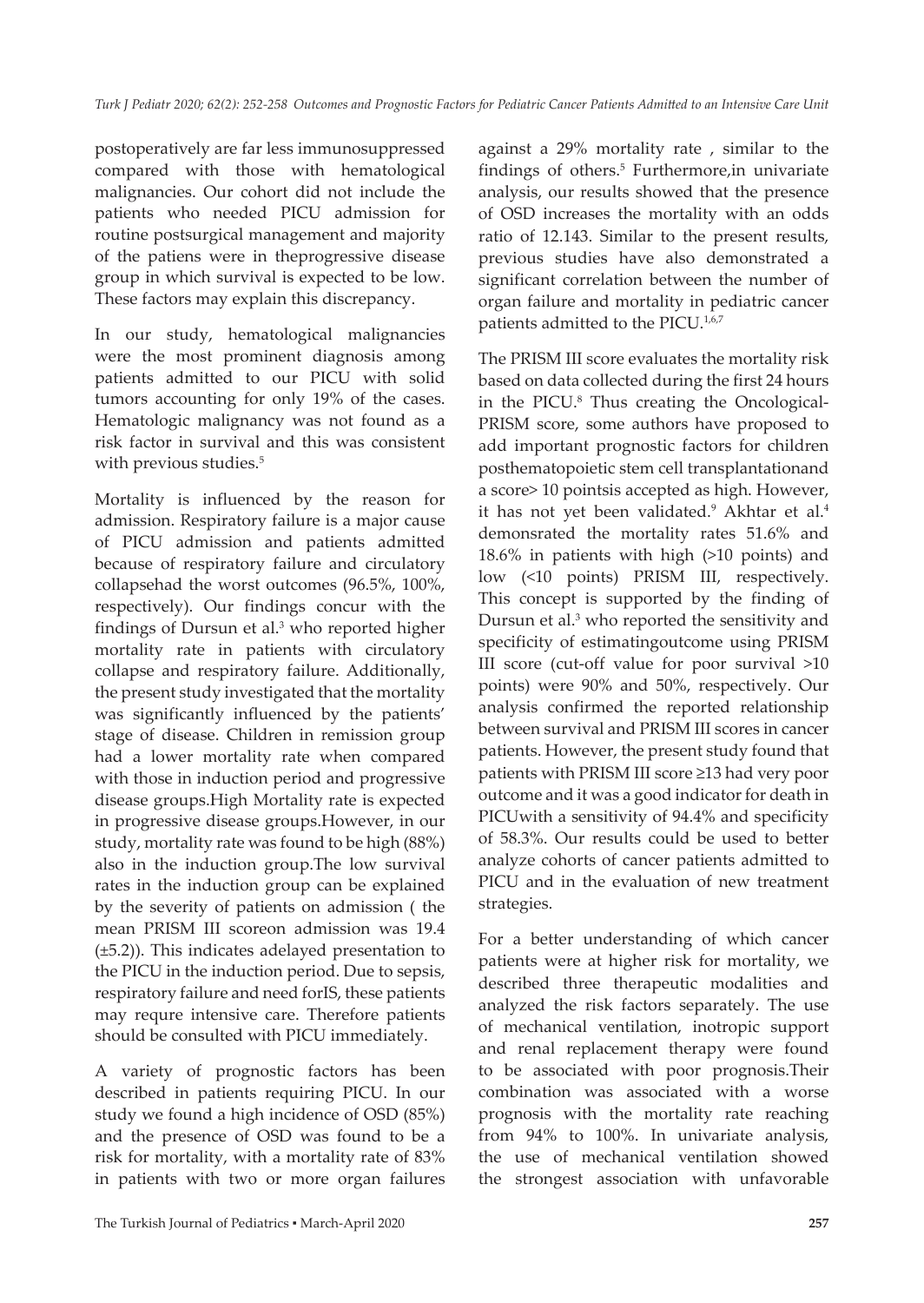postoperatively are far less immunosuppressed compared with those with hematological malignancies. Our cohort did not include the patients who needed PICU admission for routine postsurgical management and majority of the patiens were in theprogressive disease group in which survival is expected to be low. These factors may explain this discrepancy.

In our study, hematological malignancies were the most prominent diagnosis among patients admitted to our PICU with solid tumors accounting for only 19% of the cases. Hematologic malignancy was not found as a risk factor in survival and this was consistent with previous studies.<sup>5</sup>

Mortality is influenced by the reason for admission. Respiratory failure is a major cause of PICU admission and patients admitted because of respiratory failure and circulatory collapsehad the worst outcomes (96.5%, 100%, respectively). Our findings concur with the findings of Dursun et al.<sup>3</sup> who reported higher mortality rate in patients with circulatory collapse and respiratory failure. Additionally, the present study investigated that the mortality was significantly influenced by the patients' stage of disease. Children in remission group had a lower mortality rate when compared with those in induction period and progressive disease groups.High Mortality rate is expected in progressive disease groups.However, in our study, mortality rate was found to be high (88%) also in the induction group.The low survival rates in the induction group can be explained by the severity of patients on admission ( the mean PRISM III scoreon admission was 19.4 (±5.2)). This indicates adelayed presentation to the PICU in the induction period. Due to sepsis, respiratory failure and need forIS, these patients may requre intensive care. Therefore patients should be consulted with PICU immediately.

A variety of prognostic factors has been described in patients requiring PICU. In our study we found a high incidence of OSD (85%) and the presence of OSD was found to be a risk for mortality, with a mortality rate of 83% in patients with two or more organ failures

against a 29% mortality rate , similar to the findings of others.<sup>5</sup> Furthermore,in univariate analysis, our results showed that the presence of OSD increases the mortality with an odds ratio of 12.143. Similar to the present results, previous studies have also demonstrated a significant correlation between the number of organ failure and mortality in pediatric cancer patients admitted to the PICU.<sup>1,6,7</sup>

The PRISM III score evaluates the mortality risk based on data collected during the first 24 hours in the PICU.8 Thus creating the Oncological-PRISM score, some authors have proposed to add important prognostic factors for children posthematopoietic stem cell transplantationand a score> 10 pointsis accepted as high. However, it has not yet been validated.<sup>9</sup> Akhtar et al.<sup>4</sup> demonsrated the mortality rates 51.6% and 18.6% in patients with high (>10 points) and low (<10 points) PRISM III, respectively. This concept is supported by the finding of Dursun et al.<sup>3</sup> who reported the sensitivity and specificity of estimatingoutcome using PRISM III score (cut-off value for poor survival >10 points) were 90% and 50%, respectively. Our analysis confirmed the reported relationship between survival and PRISM III scores in cancer patients. However, the present study found that patients with PRISM III score ≥13 had very poor outcome and it was a good indicator for death in PICUwith a sensitivity of 94.4% and specificity of 58.3%. Our results could be used to better analyze cohorts of cancer patients admitted to PICU and in the evaluation of new treatment strategies.

For a better understanding of which cancer patients were at higher risk for mortality, we described three therapeutic modalities and analyzed the risk factors separately. The use of mechanical ventilation, inotropic support and renal replacement therapy were found to be associated with poor prognosis.Their combination was associated with a worse prognosis with the mortality rate reaching from 94% to 100%. In univariate analysis, the use of mechanical ventilation showed the strongest association with unfavorable